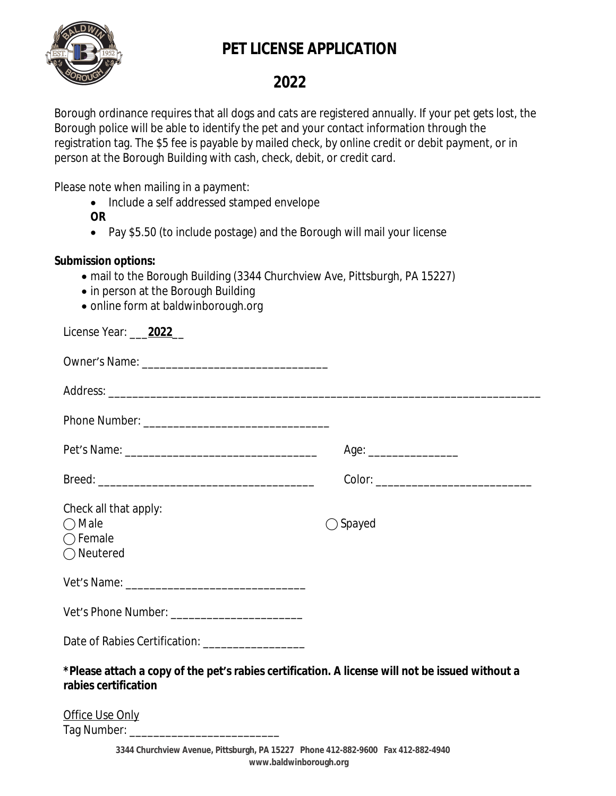

## **PET LICENSE APPLICATION**

## **2022**

Borough ordinance requires that all dogs and cats are registered annually. If your pet gets lost, the Borough police will be able to identify the pet and your contact information through the registration tag. The \$5 fee is payable by mailed check, by online credit or debit payment, or in person at the Borough Building with cash, check, debit, or credit card.

Please note when mailing in a payment:

- Include a self addressed stamped envelope
- **OR**
- Pay \$5.50 (to include postage) and the Borough will mail your license

## **Submission options:**

- mail to the Borough Building (3344 Churchview Ave, Pittsburgh, PA 15227)
- in person at the Borough Building
- online form at baldwinborough.org

| License Year: 2022                                                                                                      |                          |
|-------------------------------------------------------------------------------------------------------------------------|--------------------------|
|                                                                                                                         |                          |
|                                                                                                                         |                          |
|                                                                                                                         |                          |
|                                                                                                                         | Age: ___________________ |
|                                                                                                                         |                          |
| Check all that apply:<br>$\bigcirc$ Male<br>$\bigcap$ Female<br>$\bigcirc$ Neutered                                     | $\bigcirc$ Spayed        |
|                                                                                                                         |                          |
| Vet's Phone Number: __________________________                                                                          |                          |
| Date of Rabies Certification: ___________________                                                                       |                          |
| *Please attach a copy of the pet's rabies certification. A license will not be issued without a<br>rabies certification |                          |
| Office Use Only                                                                                                         |                          |

Tag Number: \_\_\_\_\_\_\_\_\_\_\_\_\_\_\_\_\_\_\_\_\_\_\_\_\_